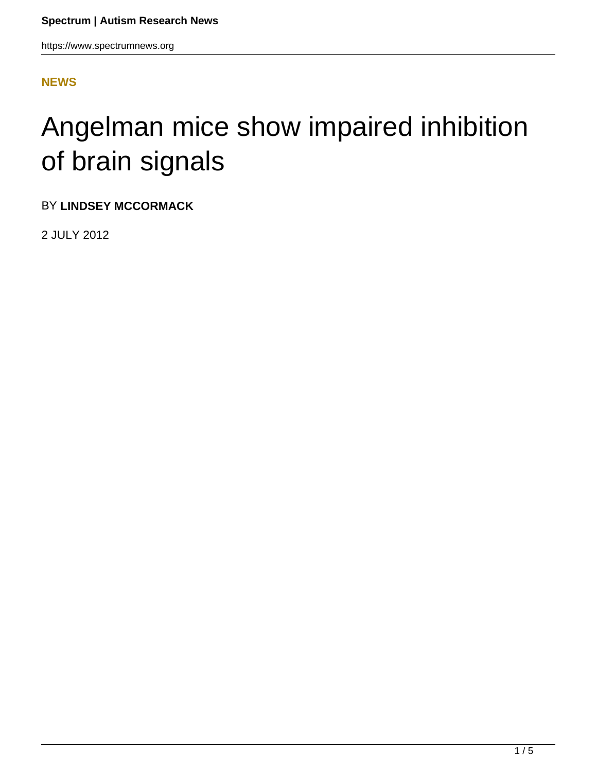https://www.spectrumnews.org

## **[NEWS](HTTPS://WWW.SPECTRUMNEWS.ORG/NEWS/)**

## Angelman mice show impaired inhibition of brain signals

BY **LINDSEY MCCORMACK**

2 JULY 2012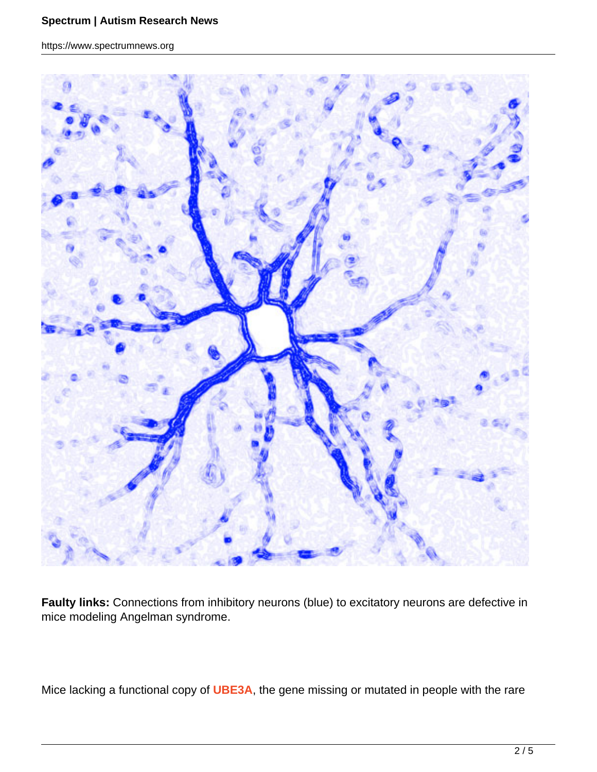https://www.spectrumnews.org



**Faulty links:** Connections from inhibitory neurons (blue) to excitatory neurons are defective in mice modeling Angelman syndrome.

Mice lacking a functional copy of **UBE3A**, the gene missing or mutated in people with the rare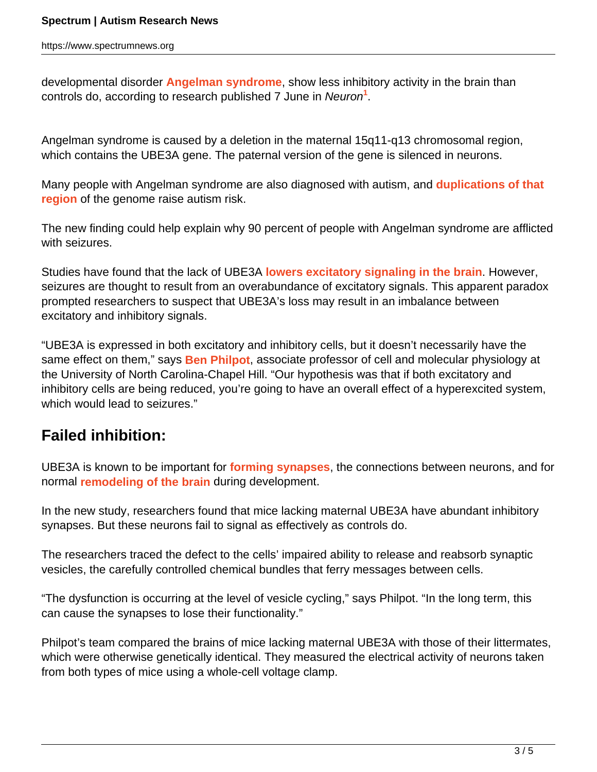https://www.spectrumnews.org

developmental disorder **Angelman syndrome**, show less inhibitory activity in the brain than controls do, according to research published 7 June in Neuron**<sup>1</sup>** .

Angelman syndrome is caused by a deletion in the maternal 15q11-q13 chromosomal region, which contains the UBE3A gene. The paternal version of the gene is silenced in neurons.

Many people with Angelman syndrome are also diagnosed with autism, and **duplications of that region** of the genome raise autism risk.

The new finding could help explain why 90 percent of people with Angelman syndrome are afflicted with seizures.

Studies have found that the lack of UBE3A **lowers excitatory signaling in the brain**. However, seizures are thought to result from an overabundance of excitatory signals. This apparent paradox prompted researchers to suspect that UBE3A's loss may result in an imbalance between excitatory and inhibitory signals.

"UBE3A is expressed in both excitatory and inhibitory cells, but it doesn't necessarily have the same effect on them," says **Ben Philpot**, associate professor of cell and molecular physiology at the University of North Carolina-Chapel Hill. "Our hypothesis was that if both excitatory and inhibitory cells are being reduced, you're going to have an overall effect of a hyperexcited system, which would lead to seizures."

## **Failed inhibition:**

UBE3A is known to be important for **forming synapses**, the connections between neurons, and for normal **remodeling of the brain** during development.

In the new study, researchers found that mice lacking maternal UBE3A have abundant inhibitory synapses. But these neurons fail to signal as effectively as controls do.

The researchers traced the defect to the cells' impaired ability to release and reabsorb synaptic vesicles, the carefully controlled chemical bundles that ferry messages between cells.

"The dysfunction is occurring at the level of vesicle cycling," says Philpot. "In the long term, this can cause the synapses to lose their functionality."

Philpot's team compared the brains of mice lacking maternal UBE3A with those of their littermates, which were otherwise genetically identical. They measured the electrical activity of neurons taken from both types of mice using a whole-cell voltage clamp.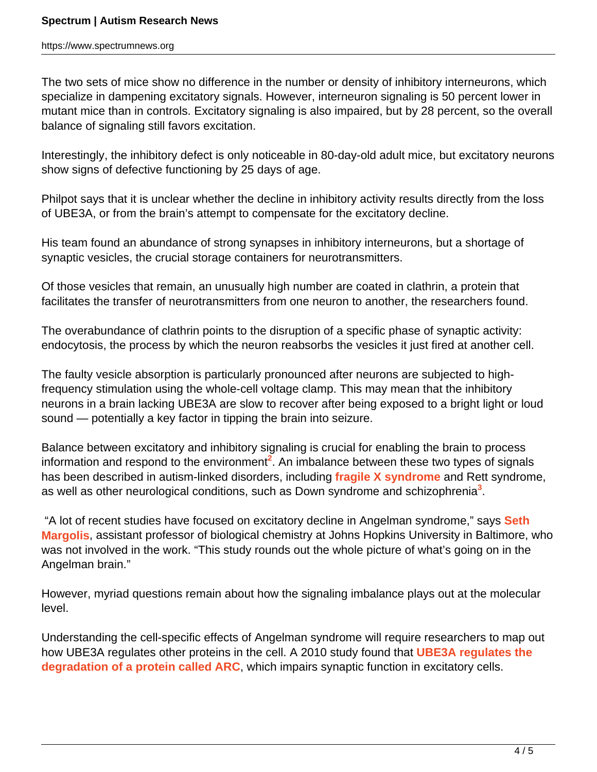The two sets of mice show no difference in the number or density of inhibitory interneurons, which specialize in dampening excitatory signals. However, interneuron signaling is 50 percent lower in mutant mice than in controls. Excitatory signaling is also impaired, but by 28 percent, so the overall balance of signaling still favors excitation.

Interestingly, the inhibitory defect is only noticeable in 80-day-old adult mice, but excitatory neurons show signs of defective functioning by 25 days of age.

Philpot says that it is unclear whether the decline in inhibitory activity results directly from the loss of UBE3A, or from the brain's attempt to compensate for the excitatory decline.

His team found an abundance of strong synapses in inhibitory interneurons, but a shortage of synaptic vesicles, the crucial storage containers for neurotransmitters.

Of those vesicles that remain, an unusually high number are coated in clathrin, a protein that facilitates the transfer of neurotransmitters from one neuron to another, the researchers found.

The overabundance of clathrin points to the disruption of a specific phase of synaptic activity: endocytosis, the process by which the neuron reabsorbs the vesicles it just fired at another cell.

The faulty vesicle absorption is particularly pronounced after neurons are subjected to highfrequency stimulation using the whole-cell voltage clamp. This may mean that the inhibitory neurons in a brain lacking UBE3A are slow to recover after being exposed to a bright light or loud sound — potentially a key factor in tipping the brain into seizure.

Balance between excitatory and inhibitory signaling is crucial for enabling the brain to process information and respond to the environment**<sup>2</sup>** . An imbalance between these two types of signals has been described in autism-linked disorders, including **fragile X syndrome** and Rett syndrome, as well as other neurological conditions, such as Down syndrome and schizophrenia**<sup>3</sup>** .

 "A lot of recent studies have focused on excitatory decline in Angelman syndrome," says **Seth Margolis**, assistant professor of biological chemistry at Johns Hopkins University in Baltimore, who was not involved in the work. "This study rounds out the whole picture of what's going on in the Angelman brain."

However, myriad questions remain about how the signaling imbalance plays out at the molecular level.

Understanding the cell-specific effects of Angelman syndrome will require researchers to map out how UBE3A regulates other proteins in the cell. A 2010 study found that **UBE3A regulates the degradation of a protein called ARC**, which impairs synaptic function in excitatory cells.